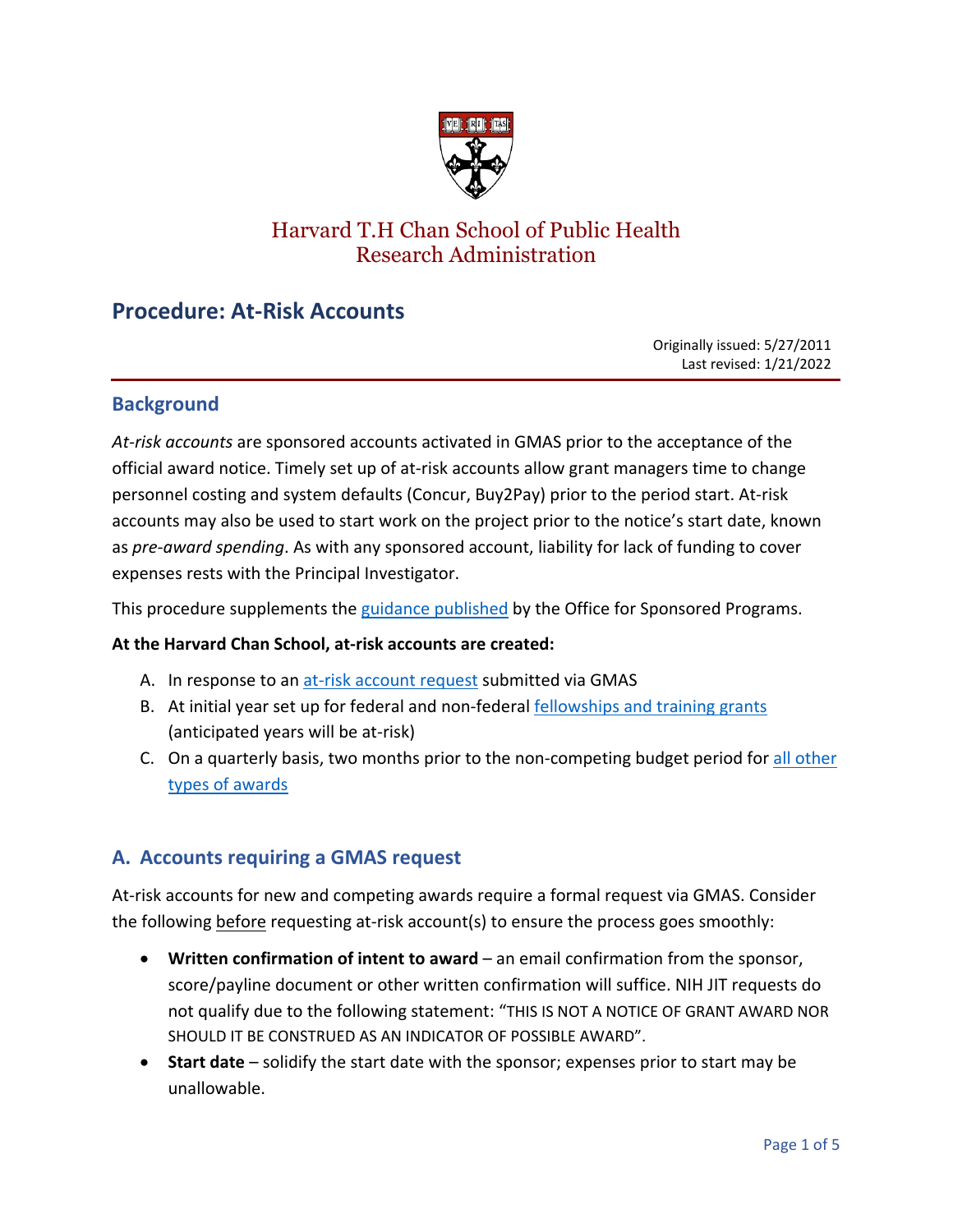

# Harvard T.H Chan School of Public Health Research Administration

# **Procedure: At-Risk Accounts**

Originally issued: 5/27/2011 Last revised: 1/21/2022

### **Background**

*At-risk accounts* are sponsored accounts activated in GMAS prior to the acceptance of the official award notice. Timely set up of at-risk accounts allow grant managers time to change personnel costing and system defaults (Concur, Buy2Pay) prior to the period start. At-risk accounts may also be used to start work on the project prior to the notice's start date, known as *pre-award spending*. As with any sponsored account, liability for lack of funding to cover expenses rests with the Principal Investigator.

This procedure supplements the [guidance published](https://osp.finance.harvard.edu/at-risk-account-guidance) by the Office for Sponsored Programs.

#### **At the Harvard Chan School, at-risk accounts are created:**

- A. In response to an [at-risk account request](#page-0-0) submitted via GMAS
- B. At initial year set up for federal and non-federal [fellowships and training grants](#page-2-0) (anticipated years will be at-risk)
- C. On a quarterly basis, two months prior to the non-competing budget period for [all other](#page-2-1)  [types of awards](#page-2-1)

# <span id="page-0-0"></span>**A. Accounts requiring a GMAS request**

At-risk accounts for new and competing awards require a formal request via GMAS. Consider the following before requesting at-risk account(s) to ensure the process goes smoothly:

- **Written confirmation of intent to award** an email confirmation from the sponsor, score/payline document or other written confirmation will suffice. NIH JIT requests do not qualify due to the following statement: "THIS IS NOT A NOTICE OF GRANT AWARD NOR SHOULD IT BE CONSTRUED AS AN INDICATOR OF POSSIBLE AWARD".
- **Start date** solidify the start date with the sponsor; expenses prior to start may be unallowable.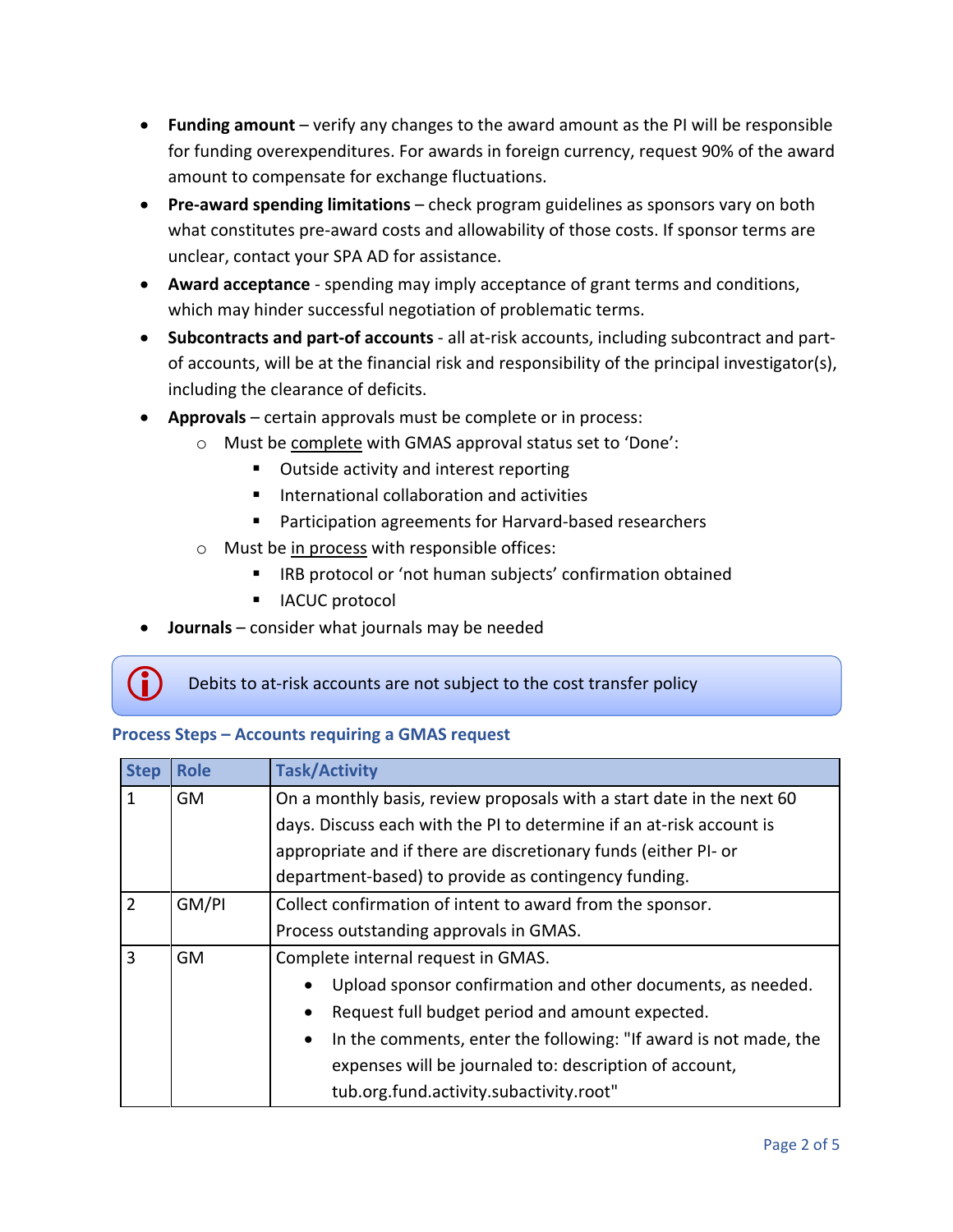- **Funding amount** verify any changes to the award amount as the PI will be responsible for funding overexpenditures. For awards in foreign currency, request 90% of the award amount to compensate for exchange fluctuations.
- **Pre-award spending limitations** check program guidelines as sponsors vary on both what constitutes pre-award costs and allowability of those costs. If sponsor terms are unclear, contact your SPA AD for assistance.
- **Award acceptance** spending may imply acceptance of grant terms and conditions, which may hinder successful negotiation of problematic terms.
- **Subcontracts and part-of accounts**  all at-risk accounts, including subcontract and partof accounts, will be at the financial risk and responsibility of the principal investigator(s), including the clearance of deficits.
- **Approvals** certain approvals must be complete or in process:
	- o Must be complete with GMAS approval status set to 'Done':
		- Outside activity and interest reporting
		- International collaboration and activities
		- **Participation agreements for Harvard-based researchers**
	- o Must be in process with responsible offices:
		- IRB protocol or 'not human subjects' confirmation obtained
		- **I** IACUC protocol
- **Journals** consider what journals may be needed

## Debits to at-risk accounts are not subject to the cost transfer policy

#### **Process Steps – Accounts requiring a GMAS request**

| <b>Step</b>    | <b>Role</b> | <b>Task/Activity</b>                                                          |
|----------------|-------------|-------------------------------------------------------------------------------|
| 1              | <b>GM</b>   | On a monthly basis, review proposals with a start date in the next 60         |
|                |             | days. Discuss each with the PI to determine if an at-risk account is          |
|                |             | appropriate and if there are discretionary funds (either PI- or               |
|                |             | department-based) to provide as contingency funding.                          |
| $\overline{2}$ | GM/PI       | Collect confirmation of intent to award from the sponsor.                     |
|                |             | Process outstanding approvals in GMAS.                                        |
| 3              | GM          | Complete internal request in GMAS.                                            |
|                |             | Upload sponsor confirmation and other documents, as needed.<br>$\bullet$      |
|                |             | Request full budget period and amount expected.                               |
|                |             | In the comments, enter the following: "If award is not made, the<br>$\bullet$ |
|                |             | expenses will be journaled to: description of account,                        |
|                |             | tub.org.fund.activity.subactivity.root"                                       |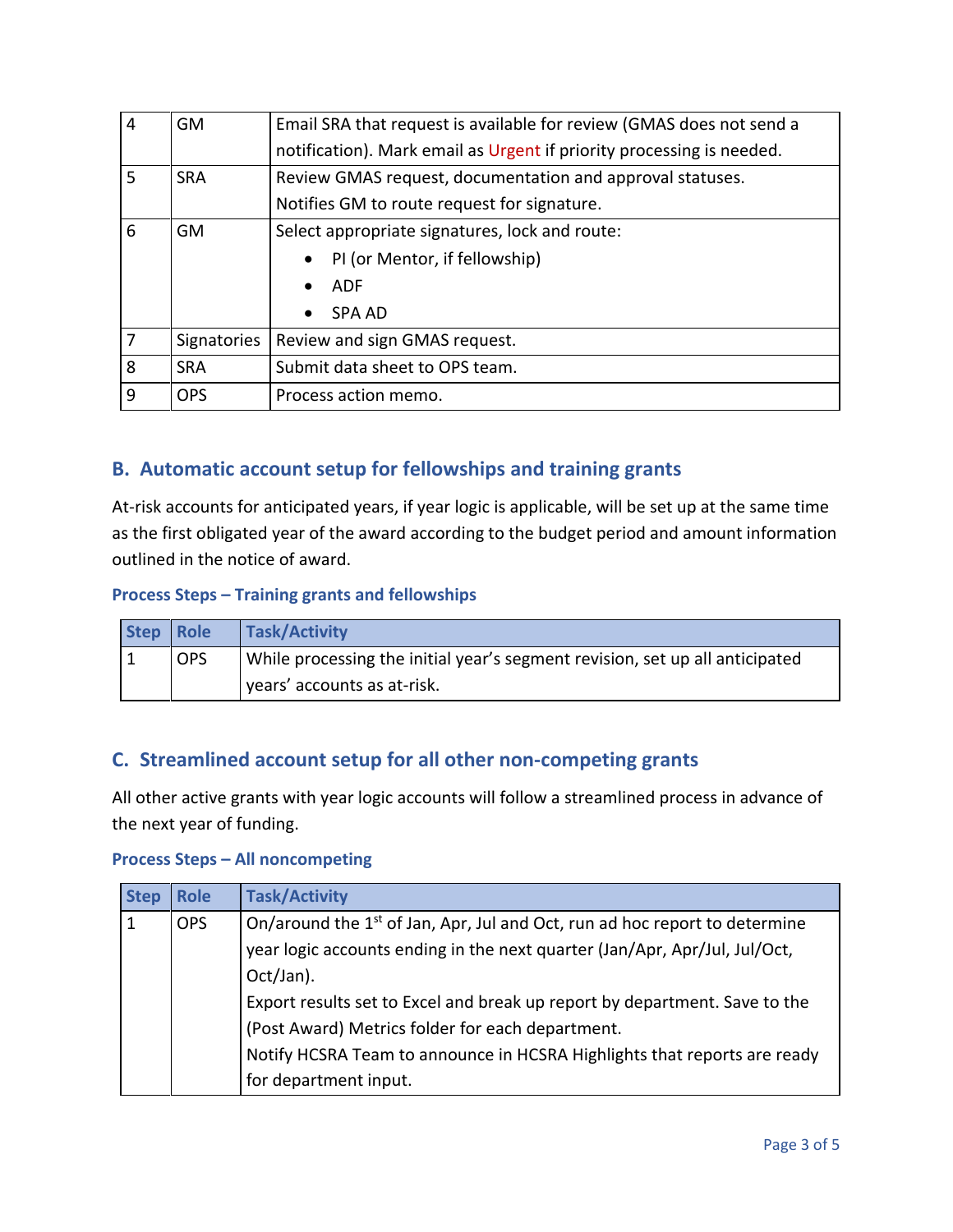| $\overline{4}$ | <b>GM</b>   | Email SRA that request is available for review (GMAS does not send a  |  |
|----------------|-------------|-----------------------------------------------------------------------|--|
|                |             | notification). Mark email as Urgent if priority processing is needed. |  |
| 5              | <b>SRA</b>  | Review GMAS request, documentation and approval statuses.             |  |
|                |             | Notifies GM to route request for signature.                           |  |
| 6              | <b>GM</b>   | Select appropriate signatures, lock and route:                        |  |
|                |             | PI (or Mentor, if fellowship)<br>$\bullet$                            |  |
|                |             | <b>ADF</b><br>$\bullet$                                               |  |
|                |             | <b>SPA AD</b><br>$\bullet$                                            |  |
| 7              | Signatories | Review and sign GMAS request.                                         |  |
| 8              | <b>SRA</b>  | Submit data sheet to OPS team.                                        |  |
| 9              | <b>OPS</b>  | Process action memo.                                                  |  |

# <span id="page-2-0"></span>**B. Automatic account setup for fellowships and training grants**

At-risk accounts for anticipated years, if year logic is applicable, will be set up at the same time as the first obligated year of the award according to the budget period and amount information outlined in the notice of award.

#### **Process Steps – Training grants and fellowships**

| <b>Step</b> | Role       | Task/Activity                                                                |
|-------------|------------|------------------------------------------------------------------------------|
|             | <b>OPS</b> | While processing the initial year's segment revision, set up all anticipated |
|             |            | vears' accounts as at-risk.                                                  |

## <span id="page-2-1"></span>**C. Streamlined account setup for all other non-competing grants**

All other active grants with year logic accounts will follow a streamlined process in advance of the next year of funding.

#### **Process Steps – All noncompeting**

| <b>Step</b> | <b>Role</b> | <b>Task/Activity</b>                                                                   |
|-------------|-------------|----------------------------------------------------------------------------------------|
| 1           | <b>OPS</b>  | On/around the 1 <sup>st</sup> of Jan, Apr, Jul and Oct, run ad hoc report to determine |
|             |             | year logic accounts ending in the next quarter (Jan/Apr, Apr/Jul, Jul/Oct,             |
|             |             | Oct/Jan).                                                                              |
|             |             | Export results set to Excel and break up report by department. Save to the             |
|             |             | (Post Award) Metrics folder for each department.                                       |
|             |             | Notify HCSRA Team to announce in HCSRA Highlights that reports are ready               |
|             |             | for department input.                                                                  |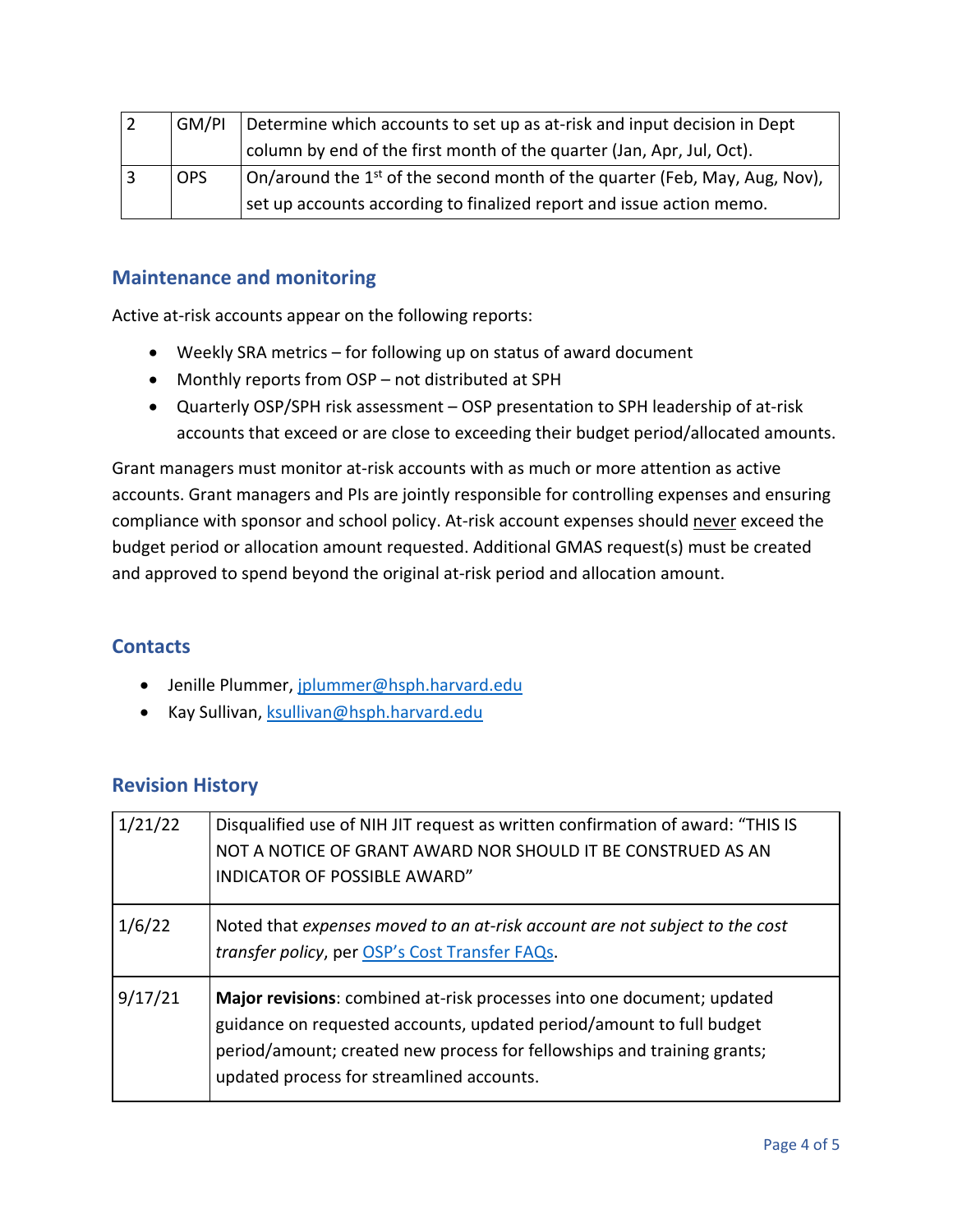| GM/PI      | Determine which accounts to set up as at-risk and input decision in Dept                        |
|------------|-------------------------------------------------------------------------------------------------|
|            | column by end of the first month of the quarter (Jan, Apr, Jul, Oct).                           |
| <b>OPS</b> | $\sigma$ On/around the 1 <sup>st</sup> of the second month of the quarter (Feb, May, Aug, Nov), |
|            | set up accounts according to finalized report and issue action memo.                            |

## **Maintenance and monitoring**

Active at-risk accounts appear on the following reports:

- Weekly SRA metrics for following up on status of award document
- Monthly reports from OSP not distributed at SPH
- Quarterly OSP/SPH risk assessment OSP presentation to SPH leadership of at-risk accounts that exceed or are close to exceeding their budget period/allocated amounts.

Grant managers must monitor at-risk accounts with as much or more attention as active accounts. Grant managers and PIs are jointly responsible for controlling expenses and ensuring compliance with sponsor and school policy. At-risk account expenses should never exceed the budget period or allocation amount requested. Additional GMAS request(s) must be created and approved to spend beyond the original at-risk period and allocation amount.

## **Contacts**

- Jenille Plummer, [jplummer@hsph.harvard.edu](mailto:jplummer@hsph.harvard.edu)
- Kay Sullivan, [ksullivan@hsph.harvard.edu](mailto:ksullivan@hsph.harvard.edu)

## **Revision History**

| 1/21/22 | Disqualified use of NIH JIT request as written confirmation of award: "THIS IS<br>NOT A NOTICE OF GRANT AWARD NOR SHOULD IT BE CONSTRUED AS AN<br><b>INDICATOR OF POSSIBLE AWARD"</b>                                                                                  |
|---------|------------------------------------------------------------------------------------------------------------------------------------------------------------------------------------------------------------------------------------------------------------------------|
| 1/6/22  | Noted that expenses moved to an at-risk account are not subject to the cost<br>transfer policy, per OSP's Cost Transfer FAQs.                                                                                                                                          |
| 9/17/21 | Major revisions: combined at-risk processes into one document; updated<br>guidance on requested accounts, updated period/amount to full budget<br>period/amount; created new process for fellowships and training grants;<br>updated process for streamlined accounts. |